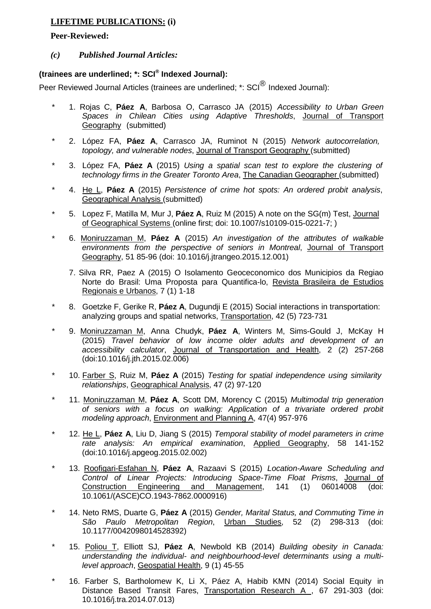## **LIFETIME PUBLICATIONS: (i)**

## **Peer-Reviewed:**

## *(c) Published Journal Articles:*

## **(trainees are underlined; \*: SCI® Indexed Journal):**

Peer Reviewed Journal Articles (trainees are underlined; \*: SCI<sup>®</sup> Indexed Journal):

- \* 1. Rojas C, **Páez A**, Barbosa O, Carrasco JA (2015) *Accessibility to Urban Green Spaces in Chilean Cities using Adaptive Thresholds*, Journal of Transport Geography (submitted)
- \* 2. López FA, **Páez A**, Carrasco JA, Ruminot N (2015) *Network autocorrelation, topology, and vulnerable nodes*, Journal of Transport Geography (submitted)
- \* 3. López FA, **Páez A** (2015) *Using a spatial scan test to explore the clustering of technology firms in the Greater Toronto Area*, The Canadian Geographer (submitted)
- \* 4. He L, **Páez A** (2015) *Persistence of crime hot spots: An ordered probit analysis*, Geographical Analysis (submitted)
- \* 5. Lopez F, Matilla M, Mur J, **Páez A**, Ruiz M (2015) A note on the SG(m) Test, Journal of Geographical Systems (online first; doi: 10.1007/s10109-015-0221-7; )
- \* 6. Moniruzzaman M, **Páez A** (2015) *An investigation of the attributes of walkable environments from the perspective of seniors in Montreal*, Journal of Transport Geography, 51 85-96 (doi: 10.1016/j.jtrangeo.2015.12.001)
	- 7. Silva RR, Paez A (2015) O Isolamento Geoceconomico dos Municipios da Regiao Norte do Brasil: Uma Proposta para Quantifica-lo, Revista Brasileira de Estudios Regionais e Urbanos, 7 (1) 1-18
- \* 8. Goetzke F, Gerike R, **Páez A**, Dugundji E (2015) Social interactions in transportation: analyzing groups and spatial networks, Transportation, 42 (5) 723-731
- \* 9. Moniruzzaman M, Anna Chudyk, **Páez A**, Winters M, Sims-Gould J, McKay H (2015) *Travel behavior of low income older adults and development of an accessibility calculator*, Journal of Transportation and Health, 2 (2) 257-268 (doi:10.1016/j.jth.2015.02.006)
- \* 10. Farber S, Ruiz M, **Páez A** (2015) *Testing for spatial independence using similarity relationships*, Geographical Analysis, 47 (2) 97-120
- \* 11. Moniruzzaman M, **Páez A**, Scott DM, Morency C (2015) *Multimodal trip generation of seniors with a focus on walking: Application of a trivariate ordered probit modeling approach*, Environment and Planning A, 47(4) 957-976
- \* 12. He L, **Páez A**, Liu D, Jiang S (2015) *Temporal stability of model parameters in crime rate analysis: An empirical examination*, Applied Geography, 58 141-152 (doi:10.1016/j.apgeog.2015.02.002)
- \* 13. Roofigari-Esfahan N, **Páez A**, Razaavi S (2015) *Location-Aware Scheduling and Control of Linear Projects: Introducing Space-Time Float Prisms*, Journal of Construction Engineering and Management, 141 (1) 06014008 (doi: 10.1061/(ASCE)CO.1943-7862.0000916)
- \* 14. Neto RMS, Duarte G, **Páez A** (2015) *Gender, Marital Status, and Commuting Time in São Paulo Metropolitan Region*, Urban Studies, 52 (2) 298-313 (doi: 10.1177/0042098014528392)
- \* 15. Poliou T, Elliott SJ, **Páez A**, Newbold KB (2014) *Building obesity in Canada: understanding the individual- and neighbourhood-level determinants using a multilevel approach*, Geospatial Health, 9 (1) 45-55
- 16. Farber S, Bartholomew K, Li X, Páez A, Habib KMN (2014) Social Equity in Distance Based Transit Fares, Transportation Research A, 67 291-303 (doi: 10.1016/j.tra.2014.07.013)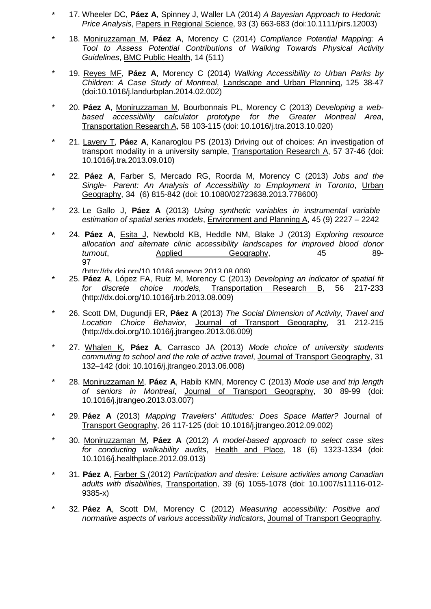- \* 17. Wheeler DC, **Páez A**, Spinney J, Waller LA (2014) *A Bayesian Approach to Hedonic Price Analysis*, Papers in Regional Science, 93 (3) 663-683 (doi:10.1111/pirs.12003)
- \* 18. Moniruzzaman M, **Páez A**, Morency C (2014) *Compliance Potential Mapping: A Tool to Assess Potential Contributions of Walking Towards Physical Activity Guidelines*, BMC Public Health, 14 (511)
- \* 19. Reyes MF, **Páez A**, Morency C (2014) *Walking Accessibility to Urban Parks by Children: A Case Study of Montreal*, Landscape and Urban Planning, 125 38-47 (doi:10.1016/j.landurbplan.2014.02.002)
- \* 20. **Páez A**, Moniruzzaman M, Bourbonnais PL, Morency C (2013) *Developing a webbased accessibility calculator prototype for the Greater Montreal Area*, Transportation Research A, 58 103-115 (doi: 10.1016/j.tra.2013.10.020)
- \* 21. Lavery T, **Páez A**, Kanaroglou PS (2013) Driving out of choices: An investigation of transport modality in a university sample, Transportation Research A, 57 37-46 (doi: 10.1016/j.tra.2013.09.010)
- \* 22. **Páez A**, Farber S, Mercado RG, Roorda M, Morency C (2013) *Jobs and the Single- Parent: An Analysis of Accessibility to Employment in Toronto*, Urban Geography, 34 (6) 815-842 (doi: 10.1080/02723638.2013.778600)
- \* 23. Le Gallo J, **Páez A** (2013) *Using synthetic variables in instrumental variable estimation of spatial series models*, Environment and Planning A, 45 (9) 2227 – 2242
- \* 24. **Páez A**, Esita J, Newbold KB, Heddle NM, Blake J (2013) *Exploring resource allocation and alternate clinic accessibility landscapes for improved blood donor turnout*, **Applied** Geography, 45 89-97<br>/http://dx.doi.org/10.1016/i.apgeog.2013.08.008
- [\(http://dx doi org/10 1016/j apgeog 2013 08 008\)](http://dx.doi.org/10.1016/j.apgeog.2013.08.008)) \* 25. **Páez <sup>A</sup>**, López FA, Ruiz M, Morency <sup>C</sup> (2013) *Developing an indicator of spatial fit for discrete choice models*, Transportation Research B, 56 217-233 [\(http://dx.doi.org/10.1016/j.trb.2013.08.009\)](http://dx.doi.org/10.1016/j.trb.2013.08.009))
- \* 26. Scott DM, Dugundji ER, **Páez A** (2013) *The Social Dimension of Activity, Travel and Location Choice Behavior*, Journal of Transport Geography, 31 212-215 [\(http://dx.doi.org/10.1016/j.jtrangeo.2013.06.009\)](http://dx.doi.org/10.1016/j.jtrangeo.2013.06.009))
- \* 27. Whalen K, **Páez A**, Carrasco JA (2013) *Mode choice of university students commuting to school and the role of active travel*, Journal of Transport Geography, 31 132–142 (doi: 10.1016/j.jtrangeo.2013.06.008)
- \* 28. Moniruzzaman M, **Páez A**, Habib KMN, Morency C (2013) *Mode use and trip length of seniors in Montreal*, Journal of Transport Geography, 30 89-99 (doi: 10.1016/j.jtrangeo.2013.03.007)
- \* 29. **Páez A** (2013) *Mapping Travelers' Attitudes: Does Space Matter?* Journal of Transport Geography, 26 117-125 (doi: 10.1016/j.jtrangeo.2012.09.002)
- \* 30. Moniruzzaman M, **Páez A** (2012) *A model-based approach to select case sites for conducting walkability audits*, Health and Place, 18 (6) 1323-1334 (doi: 10.1016/j.healthplace.2012.09.013)
- \* 31. **Páez A**, Farber S (2012) *Participation and desire: Leisure activities among Canadian adults with disabilities*, Transportation, 39 (6) 1055-1078 (doi: 10.1007/s11116-012- 9385-x)
- \* 32. **Páez A**, Scott DM, Morency C (2012) *Measuring accessibility: Positive and normative aspects of various accessibility indicators***,** Journal of Transport Geography.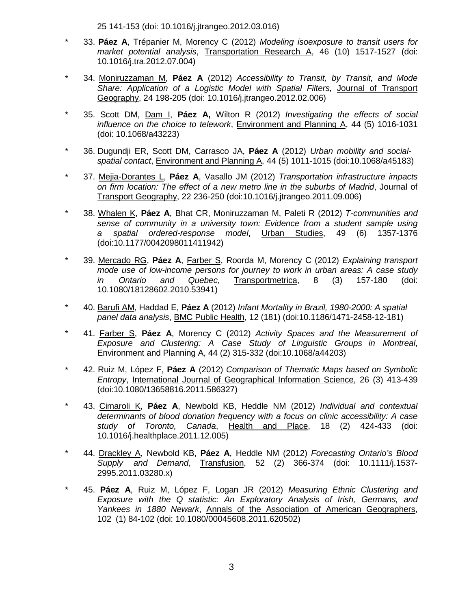25 141-153 (doi: 10.1016/j.jtrangeo.2012.03.016)

- \* 33. **Páez A**, Trépanier M, Morency C (2012) *Modeling isoexposure to transit users for market potential analysis*, Transportation Research A, 46 (10) 1517-1527 (doi: 10.1016/j.tra.2012.07.004)
- \* 34. Moniruzzaman M, **Páez A** (2012) *Accessibility to Transit, by Transit, and Mode Share: Application of a Logistic Model with Spatial Filters,* Journal of Transport Geography, 24 198-205 (doi: 10.1016/j.jtrangeo.2012.02.006)
- \* 35. Scott DM, Dam I, **Páez A,** Wilton R (2012) *Investigating the effects of social influence on the choice to telework*, Environment and Planning A, 44 (5) 1016-1031 (doi: 10.1068/a43223)
- \* 36. Dugundji ER, Scott DM, Carrasco JA, **Páez A** (2012) *Urban mobility and socialspatial contact*, Environment and Planning A, 44 (5) 1011-1015 (doi:10.1068/a45183)
- \* 37. Mejia-Dorantes L, **Páez A**, Vasallo JM (2012) *Transportation infrastructure impacts on firm location: The effect of a new metro line in the suburbs of Madrid*, Journal of Transport Geography, 22 236-250 (doi:10.1016/j.jtrangeo.2011.09.006)
- \* 38. Whalen K, **Páez A**, Bhat CR, Moniruzzaman M, Paleti R (2012) *T-communities and sense of community in a university town: Evidence from a student sample using a spatial ordered-response model*, Urban Studies, 49 (6) 1357-1376 (doi:10.1177/0042098011411942)
- \* 39. Mercado RG, **Páez A**, Farber S, Roorda M, Morency C (2012) *Explaining transport mode use of low-income persons for journey to work in urban areas: A case study in Ontario and Quebec*, Transportmetrica, 8 (3) 157-180 (doi: 10.1080/18128602.2010.53941)
- \* 40. Barufi AM, Haddad E, **Páez A** (2012) *Infant Mortality in Brazil, 1980-2000: A spatial panel data analysis*, BMC Public Health, 12 (181) (doi:10.1186/1471-2458-12-181)
- \* 41. Farber S, **Páez A**, Morency C (2012) *Activity Spaces and the Measurement of Exposure and Clustering: A Case Study of Linguistic Groups in Montreal*, Environment and Planning A, 44 (2) 315-332 (doi:10.1068/a44203)
- \* 42. Ruiz M, López F, **Páez A** (2012) *Comparison of Thematic Maps based on Symbolic Entropy*, International Journal of Geographical Information Science, 26 (3) 413-439 (doi:10.1080/13658816.2011.586327)
- \* 43. Cimaroli K, **Páez A**, Newbold KB, Heddle NM (2012) *Individual and contextual determinants of blood donation frequency with a focus on clinic accessibility: A case study of Toronto, Canada*, Health and Place, 18 (2) 424-433 (doi: 10.1016/j.healthplace.2011.12.005)
- \* 44. Drackley A, Newbold KB, **Páez A**, Heddle NM (2012) *Forecasting Ontario's Blood Supply and Demand*, Transfusion, 52 (2) 366-374 (doi: 10.1111/j.1537- 2995.2011.03280.x)
- \* 45. **Páez A**, Ruiz M, López F, Logan JR (2012) *Measuring Ethnic Clustering and Exposure with the Q statistic: An Exploratory Analysis of Irish, Germans, and Yankees in 1880 Newark*, Annals of the Association of American Geographers, 102 (1) 84-102 (doi: 10.1080/00045608.2011.620502)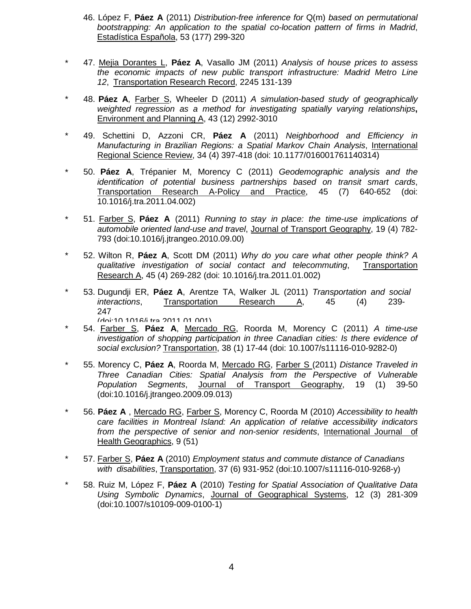- 46. López F, **Páez A** (2011) *Distribution-free inference for* Q(m) *based on permutational bootstrapping: An application to the spatial co-location pattern of firms in Madrid*, Estadística Española, 53 (177) 299-320
- \* 47. Mejia Dorantes L, **Páez A**, Vasallo JM (2011) *Analysis of house prices to assess the economic impacts of new public transport infrastructure: Madrid Metro Line 12*, Transportation Research Record, 2245 131-139
- \* 48. **Páez A**, Farber S, Wheeler D (2011) *A simulation-based study of geographically weighted regression as a method for investigating spatially varying relationships***,** Environment and Planning A, 43 (12) 2992-3010
- \* 49. Schettini D, Azzoni CR, **Páez A** (2011) *Neighborhood and Efficiency in Manufacturing in Brazilian Regions: a Spatial Markov Chain Analysis*, International Regional Science Review, 34 (4) 397-418 (doi: 10.1177/016001761140314)
- \* 50. **Páez A**, Trépanier M, Morency C (2011) *Geodemographic analysis and the identification of potential business partnerships based on transit smart cards*, Transportation Research A-Policy and Practice, 45 (7) 640-652 (doi: 10.1016/j.tra.2011.04.002)
- \* 51. Farber S, **Páez A** (2011) *Running to stay in place: the time-use implications of automobile oriented land-use and travel*, Journal of Transport Geography, 19 (4) 782- 793 (doi:10.1016/j.jtrangeo.2010.09.00)
- \* 52. Wilton R, **Páez A**, Scott DM (2011) *Why do you care what other people think? A qualitative investigation of social contact and telecommuting*, Transportation Research A, 45 (4) 269-282 (doi: 10.1016/j.tra.2011.01.002)
- \* 53. Dugundji ER, **Páez A**, Arentze TA, Walker JL (2011) *Transportation and social interactions*, Transportation Research A, 45 (4) 239- 247<br>Idni:10 1016/i tra 2011 01 001)
- (doi:10 1016/j tra 2011 01 001) \* 54. Farber S, **Páez <sup>A</sup>**, Mercado RG, Roorda M, Morency <sup>C</sup> (2011) *<sup>A</sup> time-use investigation of shopping participation in three Canadian cities: Is there evidence of social exclusion?* Transportation, 38 (1) 17-44 (doi: 10.1007/s11116-010-9282-0)
- \* 55. Morency C, **Páez A**, Roorda M, Mercado RG, Farber S (2011) *Distance Traveled in Three Canadian Cities: Spatial Analysis from the Perspective of Vulnerable Population Segments*, Journal of Transport Geography, 19 (1) 39-50 (doi:10.1016/j.jtrangeo.2009.09.013)
- \* 56. **Páez A** , Mercado RG, Farber S, Morency C, Roorda M (2010) *Accessibility to health care facilities in Montreal Island: An application of relative accessibility indicators from the perspective of senior and non-senior residents*, International Journal of Health Geographics, 9 (51)
- \* 57. Farber S, **Páez A** (2010) *Employment status and commute distance of Canadians with disabilities*, Transportation, 37 (6) 931-952 (doi:10.1007/s11116-010-9268-y)
- \* 58. Ruiz M, López F, **Páez A** (2010) *Testing for Spatial Association of Qualitative Data Using Symbolic Dynamics*, Journal of Geographical Systems, 12 (3) 281-309 (doi:10.1007/s10109-009-0100-1)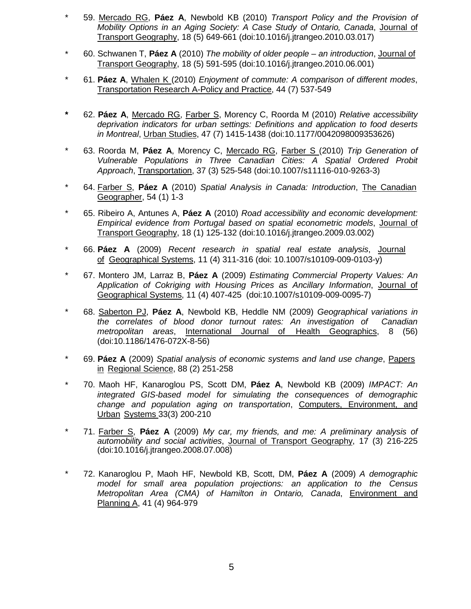- \* 59. Mercado RG, **Páez A**, Newbold KB (2010) *Transport Policy and the Provision of Mobility Options in an Aging Society: A Case Study of Ontario, Canada*, Journal of Transport Geography, 18 (5) 649-661 (doi:10.1016/j.jtrangeo.2010.03.017)
- \* 60. Schwanen T, **Páez A** (2010) *The mobility of older people – an introduction*, Journal of Transport Geography, 18 (5) 591-595 (doi:10.1016/j.jtrangeo.2010.06.001)
- \* 61. **Páez A**, Whalen K (2010) *Enjoyment of commute: A comparison of different modes*, Transportation Research A-Policy and Practice, 44 (7) 537-549
- **\*** 62. **Páez A**, Mercado RG, Farber S, Morency C, Roorda M (2010) *Relative accessibility deprivation indicators for urban settings: Definitions and application to food deserts in Montreal*, Urban Studies, 47 (7) 1415-1438 (doi:10.1177/0042098009353626)
- \* 63. Roorda M, **Páez A**, Morency C, Mercado RG, Farber S (2010) *Trip Generation of Vulnerable Populations in Three Canadian Cities: A Spatial Ordered Probit Approach*, Transportation, 37 (3) 525-548 (doi:10.1007/s11116-010-9263-3)
- \* 64. Farber S, **Páez A** (2010) *Spatial Analysis in Canada: Introduction*, The Canadian Geographer, 54 (1) 1-3
- \* 65. Ribeiro A, Antunes A, **Páez A** (2010) *Road accessibility and economic development: Empirical evidence from Portugal based on spatial econometric models*, Journal of Transport Geography, 18 (1) 125-132 (doi:10.1016/j.jtrangeo.2009.03.002)
- \* 66. **Páez A** (2009) *Recent research in spatial real estate analysis*, Journal of Geographical Systems, 11 (4) 311-316 (doi: 10.1007/s10109-009-0103-y)
- \* 67. Montero JM, Larraz B, **Páez A** (2009) *Estimating Commercial Property Values: An Application of Cokriging with Housing Prices as Ancillary Information*, Journal of Geographical Systems, 11 (4) 407-425 (doi:10.1007/s10109-009-0095-7)
- \* 68. Saberton PJ, **Páez A**, Newbold KB, Heddle NM (2009) *Geographical variations in the correlates of blood donor turnout rates: An investigation of Canadian metropolitan areas*, International Journal of Health Geographics, 8 (56) (doi:10.1186/1476-072X-8-56)
- \* 69. **Páez A** (2009) *Spatial analysis of economic systems and land use change*, Papers in Regional Science, 88 (2) 251-258
- \* 70. Maoh HF, Kanaroglou PS, Scott DM, **Páez A**, Newbold KB (2009) *IMPACT: An integrated GIS-based model for simulating the consequences of demographic change and population aging on transportation*, Computers, Environment, and Urban Systems 33(3) 200-210
- \* 71. Farber S, **Páez A** (2009) *My car, my friends, and me: A preliminary analysis of automobility and social activities*, Journal of Transport Geography, 17 (3) 216-225 (doi:10.1016/j.jtrangeo.2008.07.008)
- \* 72. Kanaroglou P, Maoh HF, Newbold KB, Scott, DM, **Páez A** (2009) *A demographic model for small area population projections: an application to the Census Metropolitan Area (CMA) of Hamilton in Ontario, Canada*, Environment and Planning A, 41 (4) 964-979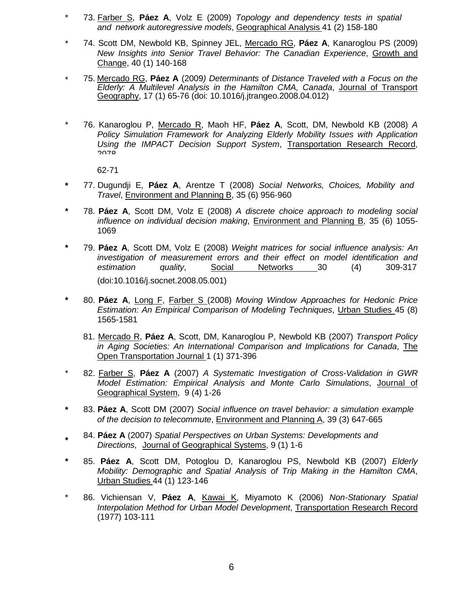- \* 73. Farber S, **Páez A**, Volz E (2009) *Topology and dependency tests in spatial and network autoregressive models*, Geographical Analysis 41 (2) 158-180
- \* 74. Scott DM, Newbold KB, Spinney JEL, Mercado RG, **Páez A**, Kanaroglou PS (2009) *New Insights into Senior Travel Behavior: The Canadian Experience*, Growth and Change, 40 (1) 140-168
- \* 75. Mercado RG, **Páez A** (2009*) Determinants of Distance Traveled with a Focus on the Elderly: A Multilevel Analysis in the Hamilton CMA, Canada*, Journal of Transport Geography, 17 (1) 65-76 (doi: 10.1016/j.jtrangeo.2008.04.012)
- \* 76. Kanaroglou P, Mercado R, Maoh HF, **Páez A**, Scott, DM, Newbold KB (2008) *A Policy Simulation Framework for Analyzing Elderly Mobility Issues with Application Using the IMPACT Decision Support System*, Transportation Research Record, 2078

62-71

- **\*** 77. Dugundji E, **Páez A**, Arentze T (2008) *Social Networks, Choices, Mobility and Travel*, Environment and Planning B, 35 (6) 956-960
- **\*** 78. **Páez A**, Scott DM, Volz E (2008) *A discrete choice approach to modeling social influence on individual decision making*, Environment and Planning B, 35 (6) 1055- 1069
- **\*** 79. **Páez A**, Scott DM, Volz E (2008) *Weight matrices for social influence analysis: An investigation of measurement errors and their effect on model identification and estimation quality*, Social Networks 30 (4) 309-317 (doi:10.1016/j.socnet.2008.05.001)
- **\*** 80. **Páez A**, Long F, Farber S (2008) *Moving Window Approaches for Hedonic Price Estimation: An Empirical Comparison of Modeling Techniques*, Urban Studies 45 (8) 1565-1581
	- 81. Mercado R, **Páez A**, Scott, DM, Kanaroglou P, Newbold KB (2007) *Transport Policy in Aging Societies: An International Comparison and Implications for Canada*, The Open Transportation Journal 1 (1) 371-396
- \* 82. Farber S, **Páez A** (2007) *A Systematic Investigation of Cross-Validation in GWR Model Estimation: Empirical Analysis and Monte Carlo Simulations*, Journal of Geographical System, 9 (4) 1-26
- **\*** 83. **Páez A**, Scott DM (2007) *Social influence on travel behavior: a simulation example of the decision to telecommute*, Environment and Planning A, 39 (3) 647-665
- **\*** 84. **Páez <sup>A</sup>** (2007) *Spatial Perspectives on Urban Systems: Developments and Directions*, Journal of Geographical Systems, 9 (1) 1-6
- **\*** 85. **Páez A**, Scott DM, Potoglou D, Kanaroglou PS, Newbold KB (2007) *Elderly Mobility: Demographic and Spatial Analysis of Trip Making in the Hamilton CMA*, Urban Studies 44 (1) 123-146
- \* 86. Vichiensan V, **Páez A**, Kawai K, Miyamoto K (2006) *Non-Stationary Spatial Interpolation Method for Urban Model Development*, Transportation Research Record (1977) 103-111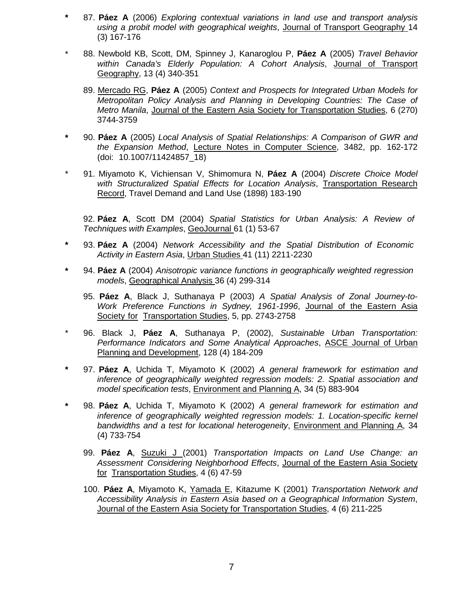- **\*** 87. **Páez A** (2006) *Exploring contextual variations in land use and transport analysis using a probit model with geographical weights*, Journal of Transport Geography 14 (3) 167-176
- \* 88. Newbold KB, Scott, DM, Spinney J, Kanaroglou P, **Páez A** (2005) *Travel Behavior within Canada's Elderly Population: A Cohort Analysis*, Journal of Transport Geography, 13 (4) 340-351
	- 89. Mercado RG, **Páez A** (2005) *Context and Prospects for Integrated Urban Models for Metropolitan Policy Analysis and Planning in Developing Countries: The Case of Metro Manila*, Journal of the Eastern Asia Society for Transportation Studies, 6 (270) 3744-3759
- **\*** 90. **Páez A** (2005) *Local Analysis of Spatial Relationships: A Comparison of GWR and the Expansion Method*, Lecture Notes in Computer Science, 3482, pp. 162-172 (doi: 10.1007/11424857\_18)
- \* 91. Miyamoto K, Vichiensan V, Shimomura N, **Páez A** (2004) *Discrete Choice Model with Structuralized Spatial Effects for Location Analysis*, Transportation Research Record, Travel Demand and Land Use (1898) 183-190

92. **Páez A**, Scott DM (2004) *Spatial Statistics for Urban Analysis: A Review of Techniques with Examples*, GeoJournal 61 (1) 53-67

- **\*** 93. **Páez A** (2004) *Network Accessibility and the Spatial Distribution of Economic Activity in Eastern Asia*, Urban Studies 41 (11) 2211-2230
- **\*** 94. **Páez A** (2004) *Anisotropic variance functions in geographically weighted regression models*, Geographical Analysis 36 (4) 299-314
	- 95. **Páez A**, Black J, Suthanaya P (2003) *A Spatial Analysis of Zonal Journey-to-Work Preference Functions in Sydney, 1961-1996*, Journal of the Eastern Asia Society for Transportation Studies, 5, pp. 2743-2758
- \* 96. Black J, **Páez A**, Suthanaya P, (2002), *Sustainable Urban Transportation: Performance Indicators and Some Analytical Approaches*, ASCE Journal of Urban Planning and Development, 128 (4) 184-209
- **\*** 97. **Páez A**, Uchida T, Miyamoto K (2002) *A general framework for estimation and inference of geographically weighted regression models: 2. Spatial association and model specification tests*, Environment and Planning A, 34 (5) 883-904
- **\*** 98. **Páez A**, Uchida T, Miyamoto K (2002) *A general framework for estimation and inference of geographically weighted regression models: 1. Location-specific kernel bandwidths and a test for locational heterogeneity*, Environment and Planning A, 34 (4) 733-754
	- 99. **Páez A**, Suzuki J (2001) *Transportation Impacts on Land Use Change: an Assessment Considering Neighborhood Effects*, Journal of the Eastern Asia Society for Transportation Studies, 4 (6) 47-59
	- 100. **Páez A**, Miyamoto K, Yamada E, Kitazume K (2001) *Transportation Network and Accessibility Analysis in Eastern Asia based on a Geographical Information System*, Journal of the Eastern Asia Society for Transportation Studies, 4 (6) 211-225